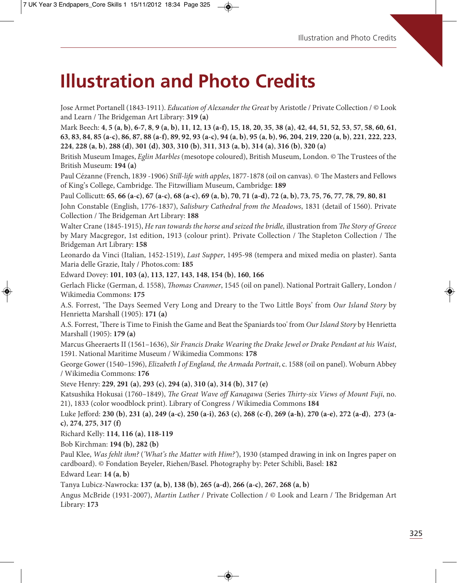# **Illustration and Photo Credits**

Jose Armet Portanell (1843-1911). Education of Alexander the Great by Aristotle / Private Collection / © Look and Learn / The Bridgeman Art Library: 319 (a)

Mark Beech: 4, 5 (a, b), 6-7, 8, 9 (a, b), 11, 12, 13 (a-f), 15, 18, 20, 35, 38 (a), 42, 44, 51, 52, 53, 57, 58, 60, 61, 63, 83, 84, 85 (a-c), 86, 87, 88 (a-f), 89, 92, 93 (a-c), 94 (a, b), 95 (a, b), 96, 204, 219, 220 (a, b), 221, 222, 223, 224, 228 (a, b), 288 (d), 301 (d), 303, 310 (b), 311, 313 (a, b), 314 (a), 316 (b), 320 (a)

British Museum Images, Eglin Marbles (mesotope coloured), British Museum, London. © The Trustees of the British Museum: **194 (a)**

Paul Cézanne (French, 1839 -1906) Still-life with apples, 1877-1878 (oil on canvas). © The Masters and Fellows of King's College, Cambridge. The Fitzwilliam Museum, Cambridge: 189

Paul Collicutt: 65, 66 (a-c), 67 (a-c), 68 (a-c), 69 (a, b), 70, 71 (a-d), 72 (a, b), 73, 75, 76, 77, 78, 79, 80, 81

John Constable (English, 1776-1837), Salisbury Cathedral from the Meadows, 1831 (detail of 1560). Private Collection / The Bridgeman Art Library: 188

Walter Crane (1845-1915), He ran towards the horse and seized the bridle, illustration from The Story of Greece by Mary Macgregor, 1st edition, 1913 (colour print). Private Collection / The Stapleton Collection / The Bridgeman Art Library: **158**

Leonardo da Vinci (Italian, 1452-1519), Last Supper, 1495-98 (tempera and mixed media on plaster). Santa Maria delle Grazie, Italy / Photos.com: **185**

Edward Dovey: **101**, **103 (a)**, **113**, **127**, **143**, **148**, **154 (b)**, **160**, **166**

Gerlach Flicke (German, d. 1558), Thomas Cranmer, 1545 (oil on panel). National Portrait Gallery, London / Wikimedia Commons: **175**

A.S. Forrest, 'The Days Seemed Very Long and Dreary to the Two Little Boys' from Our Island Story by Henrietta Marshall (1905): **171 (a)**

A.S. Forrest, 'There is Time to Finish the Game and Beat the Spaniards too' from Our Island Story by Henrietta Marshall (1905): **179 (a)**

Marcus Gheeraerts II (1561–1636), Sir Francis Drake Wearing the Drake Jewel or Drake Pendant at his Waist, 1591. National Maritime Museum / Wikimedia Commons: **178**

George Gower (1540–1596), Elizabeth I of England, the Armada Portrait, c. 1588 (oil on panel). Woburn Abbey / Wikimedia Commons: **176**

Steve Henry: **229**, **291 (a)**, **293 (c)**, **294 (a)**, **310 (a)**, **314 (b)**, **317 (e)**

Katsushika Hokusai (1760–1849), The Great Wave off Kanagawa (Series Thirty-six Views of Mount Fuji, no. 21), 1833 (color woodblock print). Library of Congress / Wikimedia Commons **184**

Luke Jefford: 230 (b), 231 (a), 249 (a-c), 250 (a-i), 263 (c), 268 (c-f), 269 (a-h), 270 (a-e), 272 (a-d), 273 (a**c)**, **274**, **275**, **317 (f)**

Richard Kelly: **114**, **116 (a)**, **118-119**

Bob Kirchman: **194 (b)**, **282 (b)**

Paul Klee, Was fehlt ihm? ('What's the Matter with Him?'), 1930 (stamped drawing in ink on Ingres paper on cardboard). © Fondation Beyeler, Riehen/Basel. Photography by: Peter Schibli, Basel: **182**

Edward Lear: **14 (a**, **b)**

Tanya Lubicz-Nawrocka: **137 (a**, **b)**, **138 (b)**, **265 (a-d)**, **266 (a-c)**, **267**, **268 (a**, **b)**

Angus McBride (1931-2007), Martin Luther / Private Collection / © Look and Learn / The Bridgeman Art Library: **173**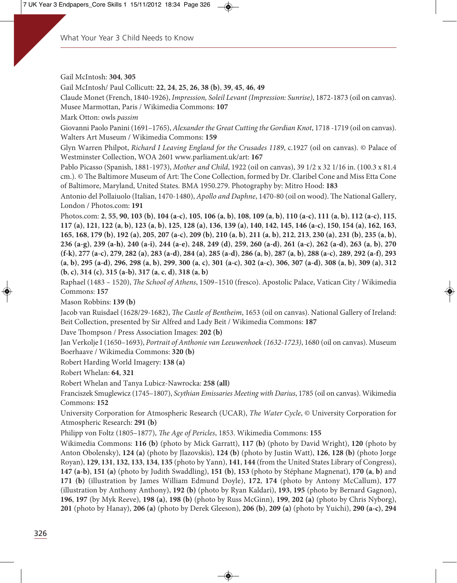Gail McIntosh: **304**, **305**

Gail McIntosh/ Paul Collicutt: **22**, **24**, **25**, **26**, **38 (b)**, **39**, **45**, **46**, **49**

Claude Monet (French, 1840-1926), Impression, Soleil Levant (Impression: Sunrise), 1872-1873 (oil on canvas). Musee Marmottan, Paris / Wikimedia Commons: **107**

Mark Otton: owls passim

Giovanni Paolo Panini (1691–1765), Alexander the Great Cutting the Gordian Knot, 1718 -1719 (oil on canvas). Walters Art Museum / Wikimedia Commons: **159**

Glyn Warren Philpot, Richard I Leaving England for the Crusades 1189, c.1927 (oil on canvas). © Palace of Westminster Collection, WOA 2601 www.parliament.uk/art: **167**

Pablo Picasso (Spanish, 1881-1973), Mother and Child, 1922 (oil on canvas), 39 1/2 x 32 1/16 in. (100.3 x 81.4 cm.). © The Baltimore Museum of Art: The Cone Collection, formed by Dr. Claribel Cone and Miss Etta Cone of Baltimore, Maryland, United States. BMA 1950.279. Photography by: Mitro Hood: **183**

Antonio del Pollaiuolo (Italian, 1470-1480), Apollo and Daphne, 1470-80 (oil on wood). The National Gallery, London / Photos.com: **191**

Photos.com: 2, 55, 90, 103 (b), 104 (a-c), 105, 106 (a, b), 108, 109 (a, b), 110 (a-c), 111 (a, b), 112 (a-c), 115, 117 (a), 121, 122 (a, b), 123 (a, b), 125, 128 (a), 136, 139 (a), 140, 142, 145, 146 (a-c), 150, 154 (a), 162, 163, 165, 168, 179 (b), 192 (a), 205, 207 (a-c), 209 (b), 210 (a, b), 211 (a, b), 212, 213, 230 (a), 231 (b), 235 (a, b), 236 (a-g), 239 (a-h), 240 (a-i), 244 (a-e), 248, 249 (d), 259, 260 (a-d), 261 (a-c), 262 (a-d), 263 (a, b), 270 (f-k), 277 (a-c), 279, 282 (a), 283 (a-d), 284 (a), 285 (a-d), 286 (a, b), 287 (a, b), 288 (a-c), 289, 292 (a-f), 293 (a, b), 295 (a-d), 296, 298 (a, b), 299, 300 (a, c), 301 (a-c), 302 (a-c), 306, 307 (a-d), 308 (a, b), 309 (a), 312 **(b**, **c)**, **314 (c)**, **315 (a-b)**, **317 (a**, **c**, **d)**, **318 (a**, **b)**

Raphael (1483 – 1520), The School of Athens, 1509-1510 (fresco). Apostolic Palace, Vatican City / Wikimedia Commons: **157**

Mason Robbins: **139 (b)**

Jacob van Ruisdael (1628/29-1682), The Castle of Bentheim, 1653 (oil on canvas). National Gallery of Ireland: Beit Collection, presented by Sir Alfred and Lady Beit / Wikimedia Commons: **187**

Dave Thompson / Press Association Images: 202 (b)

Jan Verkolje I (1650–1693), Portrait of Anthonie van Leeuwenhoek (1632-1723), 1680 (oil on canvas). Museum Boerhaave / Wikimedia Commons: **320 (b)**

Robert Harding World Imagery: **138 (a)**

Robert Whelan: **64**, **321**

Robert Whelan and Tanya Lubicz-Nawrocka: **258 (all)**

Franciszek Smuglewicz (1745–1807), Scythian Emissaries Meeting with Darius, 1785 (oil on canvas). Wikimedia Commons: **152**

University Corporation for Atmospheric Research (UCAR), The Water Cycle, © University Corporation for Atmospheric Research: **291 (b)**

Philipp von Foltz (1805–1877), The Age of Pericles, 1853. Wikimedia Commons: 155

Wikimedia Commons: **116 (b)** (photo by Mick Garratt), **117 (b)** (photo by David Wright), **120** (photo by Anton Obolensky), **124 (a)** (photo by Jlazovskis), **124 (b)** (photo by Justin Watt), **126**, **128 (b)** (photo Jorge Royan), **129**, **131**, **132**, **133**, **134**, **135** (photo by Yann), **141**, **144** (from the United States Library of Congress), **147 (a-b)**, **151 (a)** (photo by Judith Swaddling), **151 (b)**, **153** (photo by Stéphane Magnenat), **170 (a**, **b)** and **171 (b)** (illustration by James William Edmund Doyle), **172**, **174** (photo by Antony McCallum), **177** (illustration by Anthony Anthony), **192 (b)** (photo by Ryan Kaldari), **193**, **195** (photo by Bernard Gagnon), **196**, **197** (by Myk Reeve), **198 (a)**, **198 (b)** (photo by Russ McGinn), **199**, **202 (a)** (photo by Chris Nyborg), **201** (photo by Hanay), **206 (a)** (photo by Derek Gleeson), **206 (b)**, **209 (a)** (photo by Yuichi), **290 (a-c)**, **294**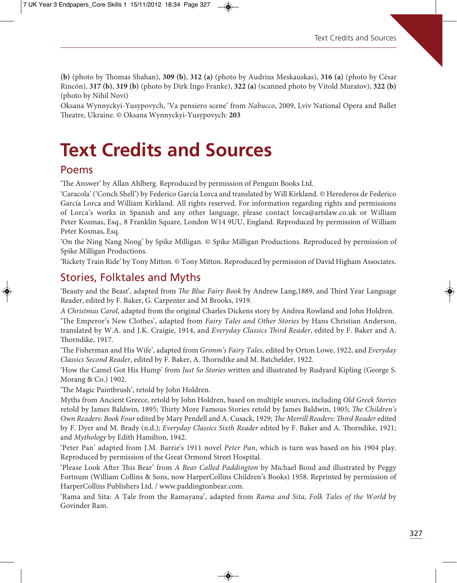**(b)** (photo by omas Shahan), **309 (b)**, **312 (a)** (photo by Audrius Meskauskas), **316 (a)** (photo by César Rincón), **317 (b)**, **319 (b)** (photo by Dirk Ingo Franke), **322 (a)** (scanned photo by Vitold Muratov), **322 (b)**  (photo by Nihil Novi)

Oksana Wynnyckyi-Yusypovych, 'Va pensiero scene' from Nabucco, 2009, Lviv National Opera and Ballet eatre, Ukraine. © Oksana Wynnyckyi-Yusypovych: **203**

# **Text Credits and Sources**

#### Poems

'The Answer' by Allan Ahlberg. Reproduced by permission of Penguin Books Ltd.

'Caracola' ('Conch Shell') by Federico García Lorca and translated by Will Kirkland. © Herederos de Federico García Lorca and William Kirkland. All rights reserved. For information regarding rights and permissions of Lorca's works in Spanish and any other language, please contact lorca@artslaw.co.uk or William Peter Kosmas, Esq., 8 Franklin Square, London W14 9UU, England. Reproduced by permission of William Peter Kosmas, Esq.

'On the Ning Nang Nong' by Spike Milligan. © Spike Milligan Productions. Reproduced by permission of Spike Milligan Productions.

'Rickety Train Ride' by Tony Mitton. © Tony Mitton. Reproduced by permission of David Higham Associates.

#### Stories, Folktales and Myths

'Beauty and the Beast', adapted from The Blue Fairy Book by Andrew Lang,1889, and Third Year Language Reader, edited by F. Baker, G. Carpenter and M Brooks, 1919.

A Christmas Carol, adapted from the original Charles Dickens story by Andrea Rowland and John Holdren.

'The Emperor's New Clothes', adapted from Fairy Tales and Other Stories by Hans Christian Anderson, translated by W.A. and J.K. Craigie, 1914, and Everyday Classics Third Reader, edited by F. Baker and A. Thorndike, 1917.

'The Fisherman and His Wife', adapted from Grimm's Fairy Tales, edited by Orton Lowe, 1922, and Everyday Classics Second Reader, edited by F. Baker, A. Thorndike and M. Batchelder, 1922.

'How the Camel Got His Hump' from Just So Stories written and illustrated by Rudyard Kipling (George S. Morang & Co.) 1902.

'The Magic Paintbrush', retold by John Holdren.

Myths from Ancient Greece, retold by John Holdren, based on multiple sources, including Old Greek Stories retold by James Baldwin, 1895; Thirty More Famous Stories retold by James Baldwin, 1905; The Children's Own Readers: Book Four edited by Mary Pendell and A. Cusack, 1929; The Merrill Readers: Third Reader edited by F. Dyer and M. Brady (n.d.); Everyday Classics Sixth Reader edited by F. Baker and A. Thorndike, 1921; and Mythology by Edith Hamilton, 1942.

'Peter Pan' adapted from J.M. Barrie's 1911 novel Peter Pan, which is turn was based on his 1904 play. Reproduced by permission of the Great Ormond Street Hospital.

'Please Look After This Bear' from A Bear Called Paddington by Michael Bond and illustrated by Peggy Fortnum (William Collins & Sons, now HarperCollins Children's Books) 1958. Reprinted by permission of HarperCollins Publishers Ltd. / www.paddingtonbear.com.

'Rama and Sita: A Tale from the Ramayana', adapted from Rama and Sita, Folk Tales of the World by Govinder Ram.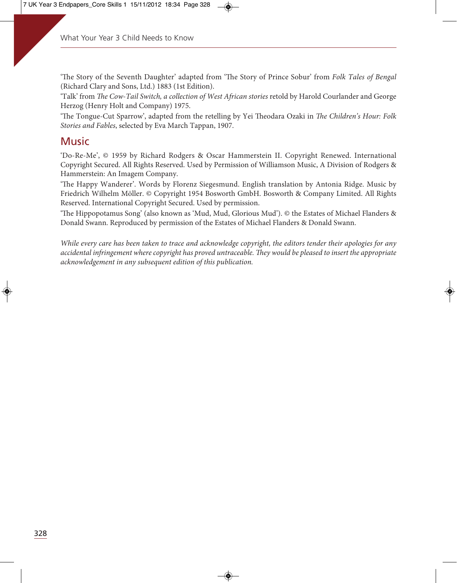'The Story of the Seventh Daughter' adapted from 'The Story of Prince Sobur' from Folk Tales of Bengal (Richard Clary and Sons, Ltd.) 1883 (1st Edition).

'Talk' from The Cow-Tail Switch, a collection of West African stories retold by Harold Courlander and George Herzog (Henry Holt and Company) 1975.

'The Tongue-Cut Sparrow', adapted from the retelling by Yei Theodara Ozaki in The Children's Hour: Folk Stories and Fables, selected by Eva March Tappan, 1907.

### **Music**

'Do-Re-Me', © 1959 by Richard Rodgers & Oscar Hammerstein II. Copyright Renewed. International Copyright Secured. All Rights Reserved. Used by Permission of Williamson Music, A Division of Rodgers & Hammerstein: An Imagem Company.

'The Happy Wanderer'. Words by Florenz Siegesmund. English translation by Antonia Ridge. Music by Friedrich Wilhelm Möller. © Copyright 1954 Bosworth GmbH. Bosworth & Company Limited. All Rights Reserved. International Copyright Secured. Used by permission.

'The Hippopotamus Song' (also known as 'Mud, Mud, Glorious Mud'). © the Estates of Michael Flanders & Donald Swann. Reproduced by permission of the Estates of Michael Flanders & Donald Swann.

While every care has been taken to trace and acknowledge copyright, the editors tender their apologies for any accidental infringement where copyright has proved untraceable. They would be pleased to insert the appropriate acknowledgement in any subsequent edition of this publication.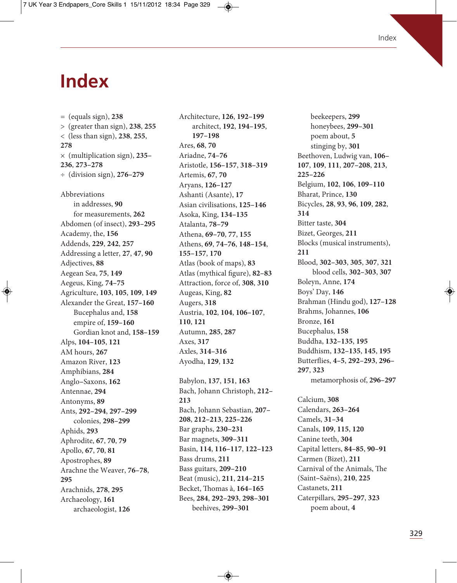### **Index**

= (equals sign), **238** > (greater than sign), **238**, **255** < (less than sign), **238**, **255**, **278** × (multiplication sign), **235– 236**, **273–278** ÷ (division sign), **276–279** Abbreviations in addresses, **90** for measurements, **262** Abdomen (of insect), **293–295** Academy, the, **156** Addends, **229**, **242**, **257** Addressing a letter, **27**, **47**, **90** Adjectives, **88** Aegean Sea, **75**, **149** Aegeus, King, **74–75** Agriculture, **103**, **105**, **109**, **149** Alexander the Great, **157–160** Bucephalus and, **158** empire of, **159–160** Gordian knot and, **158–159** Alps, **104–105**, **121** AM hours, **267** Amazon River, **123** Amphibians, **284** Anglo**–**Saxons, **162** Antennae, **294** Antonyms, **89** Ants, **292–294**, **297–299** colonies, **298–299** Aphids, **293** Aphrodite, **67**, **70**, **79** Apollo, **67**, **70**, **81** Apostrophes, **89** Arachne the Weaver, **76–78**, **295** Arachnids, **278**, **295** Archaeology, **161** archaeologist, **126**

Architecture, **126**, **192–199** architect, **192**, **194–195**, **197–198** Ares, **68**, **70** Ariadne, **74–76** Aristotle, **156–157**, **318–319** Artemis, **67**, **70** Aryans, **126–127** Ashanti (Asante), **17** Asian civilisations, **125–146** Asoka, King, **134–135** Atalanta, **78–79** Athena, **69–70**, **77**, **155** Athens, **69**, **74–76**, **148–154**, **155–157**, **170** Atlas (book of maps), **83** Atlas (mythical figure), **82–83** Attraction, force of, **308**, **310** Augeas, King, **82** Augers, **318** Austria, **102**, **104**, **106–107**, **110**, **121** Autumn, **285**, **287** Axes, **317** Axles, **314–316** Ayodha, **129**, **132**

Babylon, **137**, **151**, **163** Bach, Johann Christoph, **212– 213** Bach, Johann Sebastian, **207– 208**, **212–213**, **225–226** Bar graphs, **230–231** Bar magnets, **309–311** Basin, **114**, **116–117**, **122–123** Bass drums, **211** Bass guitars, **209–210** Beat (music), **211**, **214–215** Becket, Thomas à, **164–165** Bees, **284**, **292–293**, **298–301** beehives, **299–301**

beekeepers, **299** honeybees, **299–301** poem about, **5** stinging by, **301** Beethoven, Ludwig van, **106– 107**, **109**, **111**, **207–208**, **213**, **225–226** Belgium, **102**, **106**, **109–110** Bharat, Prince, **130** Bicycles, **28**, **93**, **96**, **109**, **282**, **314** Bitter taste, **304** Bizet, Georges, **211** Blocks (musical instruments), **211** Blood, **302–303**, **305**, **307**, **321** blood cells, **302–303**, **307** Boleyn, Anne, **174** Boys' Day, **146** Brahman (Hindu god), **127–128** Brahms, Johannes, **106** Bronze, **161** Bucephalus, **158** Buddha, **132–135**, **195** Buddhism, **132–135**, **145**, **195** Butterflies, **4–5**, **292–293**, **296– 297**, **323** metamorphosis of, **296–297**

Calcium, **308** Calendars, **263–264** Camels, **31–34** Canals, **109**, **115**, **120** Canine teeth, **304** Capital letters, **84–85**, **90–91** Carmen (Bizet), **211** Carnival of the Animals, The (Saint**–**Saëns), **210**, **225** Castanets, **211** Caterpillars, **295–297**, **323** poem about, **4**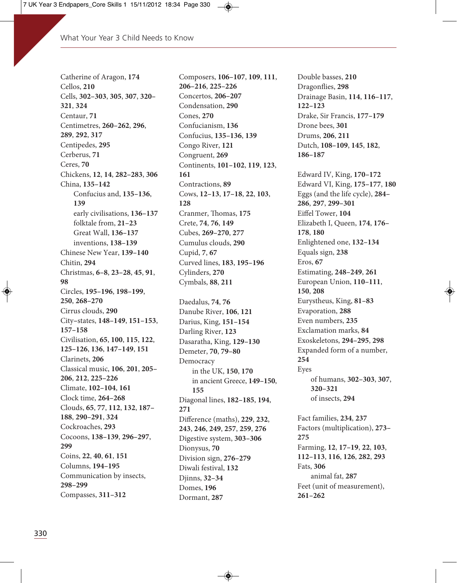Catherine of Aragon, **174** Cellos, **210** Cells, **302–303**, **305**, **307**, **320– 321**, **324** Centaur, **71** Centimetres, **260–262**, **296**, **289**, **292**, **317** Centipedes, **295** Cerberus, **71** Ceres, **70** Chickens, **12**, **14**, **282–283**, **306** China, **135–142** Confucius and, **135–136**, **139** early civilisations, **136–137** folktale from, **21–23** Great Wall, **136–137** inventions, **138–139** Chinese New Year, **139–140** Chitin, **294** Christmas, **6–8**, **23–28**, **45**, **91**, **98** Circles, **195–196**, **198–199**, **250**, **268–270** Cirrus clouds, **290** City**–**states, **148–149**, **151–153**, **157–158** Civilisation, **65**, **100**, **115**, **122**, **125–126**, **136**, **147–149**, **151** Clarinets, **206** Classical music, **106**, **201**, **205– 206**, **212**, **225–226** Climate, **102–104**, **161** Clock time, **264–268** Clouds, **65**, **77**, **112**, **132**, **187– 188**, **290–291**, **324** Cockroaches, **293** Cocoons, **138–139**, **296–297**, **299** Coins, **22**, **40**, **61**, **151** Columns, **194–195** Communication by insects, **298–299** Compasses, **311–312**

Composers, **106–107**, **109**, **111**, **206–216**, **225–226** Concertos, **206–207** Condensation, **290** Cones, **270** Confucianism, **136** Confucius, **135–136**, **139** Congo River, **121** Congruent, **269** Continents, **101–102**, **119**, **123**, **161** Contractions, **89** Cows, **12–13**, **17–18**, **22**, **103**, **128** Cranmer, Thomas, 175 Crete, **74**, **76**, **149** Cubes, **269–270**, **277** Cumulus clouds, **290** Cupid, **7**, **67** Curved lines, **183**, **195–196** Cylinders, **270** Cymbals, **88**, **211**

Daedalus, **74**, **76** Danube River, **106**, **121** Darius, King, **151–154** Darling River, **123** Dasaratha, King, **129–130** Demeter, **70**, **79–80** Democracy in the UK, **150**, **170** in ancient Greece, **149–150**, **155** Diagonal lines, **182–185**, **194**, **271** Difference (maths), **229**, **232**, **243**, **246**, **249**, **257**, **259**, **276** Digestive system, **303–306** Dionysus, **70** Division sign, **276–279** Diwali festival, **132** Djinns, **32–34** Domes, **196** Dormant, **287**

Double basses, **210** Dragonflies, **298** Drainage Basin, **114**, **116–117**, **122–123** Drake, Sir Francis, **177–179** Drone bees, **301** Drums, **206**, **211** Dutch, **108–109**, **145**, **182**, **186–187**

Edward IV, King, **170–172** Edward VI, King, **175–177**, **180** Eggs (and the life cycle), **284– 286**, **297**, **299–301** Eiffel Tower, **104** Elizabeth I, Queen, **174**, **176– 178**, **180** Enlightened one, **132–134** Equals sign, **238** Eros, **67** Estimating, **248–249**, **261** European Union, **110–111**, **150**, **208** Eurystheus, King, **81–83** Evaporation, **288** Even numbers, **235** Exclamation marks, **84** Exoskeletons, **294–295**, **298** Expanded form of a number, **254** Eyes of humans, **302–303**, **307**, **320–321** of insects, **294**

Fact families, **234**, **237** Factors (multiplication), **273– 275** Farming, **12**, **17–19**, **22**, **103**, **112–113**, **116**, **126**, **282**, **293** Fats, **306** animal fat, **287** Feet (unit of measurement), **261–262**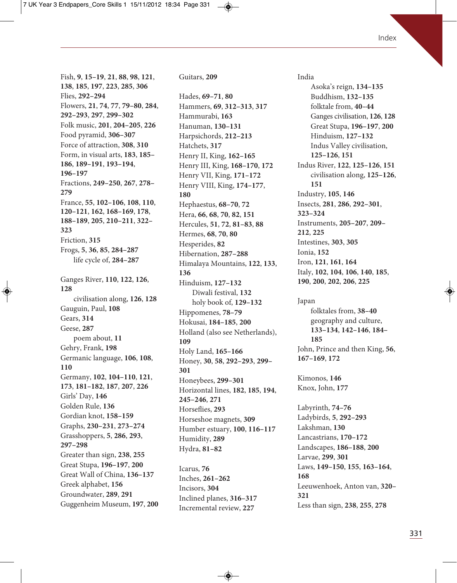Fish, **9**, **15–19**, **21**, **88**, **98**, **121**, **138**, **185**, **197**, **223**, **285**, **306** Flies, **292–294** Flowers, **21**, **74**, **77**, **79–80**, **284**, **292–293**, **297**, **299–302** Folk music, **201**, **204–205**, **226** Food pyramid, **306–307** Force of attraction, **308**, **310** Form, in visual arts, **183**, **185– 186**, **189–191**, **193–194**, **196–197** Fractions, **249–250**, **267**, **278– 279** France, **55**, **102–106**, **108**, **110**, **120–121**, **162**, **168–169**, **178**, **188–189**, **205**, **210–211**, **322– 323** Friction, **315** Frogs, **5**, **36**, **85**, **284–287** life cycle of, **284–287** Ganges River, **110**, **122**, **126**, **128** civilisation along, **126**, **128** Gauguin, Paul, **108** Gears, **314** Geese, **287** poem about, **11** Gehry, Frank, **198** Germanic language, **106**, **108**, **110** Germany, **102**, **104–110**, **121**, **173**, **181–182**, **187**, **207**, **226** Girls' Day, **146** Golden Rule, **136** Gordian knot, **158–159** Graphs, **230–231**, **273–274** Grasshoppers, **5**, **286**, **293**, **297–298** Greater than sign, **238**, **255** Great Stupa, **196–197**, **200** Great Wall of China, **136–137** Greek alphabet, **156** Groundwater, **289**, **291** Guggenheim Museum, **197**, **200** Guitars, **209**

Hades, **69–71**, **80** Hammers, **69**, **312–313**, **317** Hammurabi, **163** Hanuman, **130–131** Harpsichords, **212–213** Hatchets, **317** Henry II, King, **162–165** Henry III, King, **168–170**, **172** Henry VII, King, **171–172** Henry VIII, King, **174–177**, **180** Hephaestus, **68–70**, **72** Hera, **66**, **68**, **70**, **82**, **151** Hercules, **51**, **72**, **81–83**, **88** Hermes, **68**, **70**, **80** Hesperides, **82** Hibernation, **287–288** Himalaya Mountains, **122**, **133**, **136** Hinduism, **127–132** Diwali festival, **132** holy book of, **129–132** Hippomenes, **78–79** Hokusai, **184–185**, **200** Holland (also see Netherlands), **109** Holy Land, **165–166** Honey, **30**, **58**, **292–293**, **299– 301** Honeybees, **299–301** Horizontal lines, **182**, **185**, **194**, **245–246**, **271** Horseflies, **293** Horseshoe magnets, **309** Humber estuary, **100**, **116–117** Humidity, **289** Hydra, **81–82**

Icarus, **76** Inches, **261–262** Incisors, **304** Inclined planes, **316–317** Incremental review, **227**

India Asoka's reign, **134–135** Buddhism, **132–135** folktale from, **40–44** Ganges civilisation, **126**, **128** Great Stupa, **196–197**, **200** Hinduism, **127–132** Indus Valley civilisation, **125–126**, **151** Indus River, **122**, **125–126**, **151** civilisation along, **125–126**, **151** Industry, **105**, **146** Insects, **281**, **286**, **292–301**, **323–324** Instruments, **205–207**, **209– 212**, **225** Intestines, **303**, **305** Ionia, **152** Iron, **121**, **161**, **164** Italy, **102**, **104**, **106**, **140**, **185**, **190**, **200**, **202**, **206**, **225**

Japan folktales from, **38–40** geography and culture, **133–134**, **142–146**, **184– 185** John, Prince and then King, **56**, **167–169**, **172**

Kimonos, **146** Knox, John, **177**

Labyrinth, **74–76** Ladybirds, **5**, **292–293** Lakshman, **130** Lancastrians, **170–172** Landscapes, **186–188**, **200** Larvae, **299**, **301** Laws, **149–150**, **155**, **163–164**, **168** Leeuwenhoek, Anton van, **320– 321** Less than sign, **238**, **255**, **278**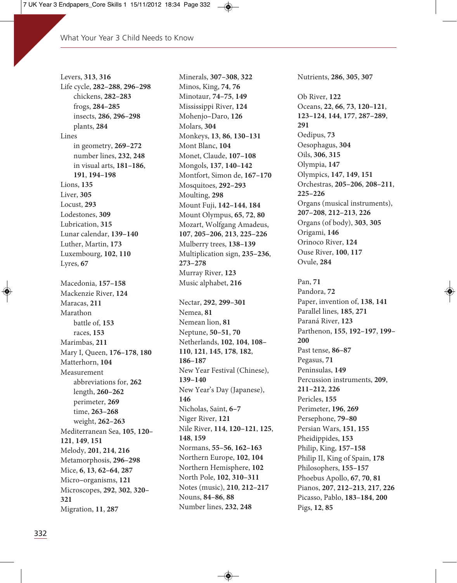Levers, **313**, **316** Life cycle, **282–288**, **296–298** chickens, **282–283** frogs, **284–285** insects, **286**, **296–298** plants, **284** Lines in geometry, **269–272** number lines, **232**, **248** in visual arts, **181–186**, **191**, **194–198** Lions, **135** Liver, **305** Locust, **293** Lodestones, **309** Lubrication, **315** Lunar calendar, **139–140** Luther, Martin, **173** Luxembourg, **102**, **110** Lyres, **67** Macedonia, **157–158** Mackenzie River, **124** Maracas, **211** Marathon battle of, **153** races, **153** Marimbas, **211** Mary I, Queen, **176–178**, **180** Matterhorn, **104** Measurement abbreviations for, **262** length, **260–262** perimeter, **269** time, **263–268** weight, **262–263** Mediterranean Sea, **105**, **120– 121**, **149**, **151** Melody, **201**, **214**, **216** Metamorphosis, **296–298** Mice, **6**, **13**, **62–64**, **287** Micro**–**organisms, **121** Microscopes, **292**, **302**, **320– 321** Migration, **11**, **287**

Minerals, **307–308**, **322** Minos, King, **74**, **76** Minotaur, **74–75**, **149** Mississippi River, **124** Mohenjo**–**Daro, **126** Molars, **304** Monkeys, **13**, **86**, **130–131** Mont Blanc, **104** Monet, Claude, **107–108** Mongols, **137**, **140–142** Montfort, Simon de, **167–170** Mosquitoes, **292–293** Moulting, **298** Mount Fuji, **142–144**, **184** Mount Olympus, **65**, **72**, **80** Mozart, Wolfgang Amadeus, **107**, **205–206**, **213**, **225–226** Mulberry trees, **138–139** Multiplication sign, **235–236**, **273–278** Murray River, **123** Music alphabet, **216** Nectar, **292**, **299–301** Nemea, **81** Nemean lion, **81** Neptune, **50–51**, **70** Netherlands, **102**, **104**, **108– 110**, **121**, **145**, **178**, **182**, **186–187** New Year Festival (Chinese), **139–140** New Year's Day (Japanese), **146** Nicholas, Saint, **6–7** Niger River, **121** Nile River, **114**, **120–121**, **125**, **148**, **159** Normans, **55–56**, **162–163** Northern Europe, **102**, **104** Northern Hemisphere, **102** North Pole, **102**, **310–311** Notes (music), **210**, **212–217** Nouns, **84–86**, **88** Number lines, **232**, **248**

Nutrients, **286**, **305**, **307** Ob River, **122** Oceans, **22**, **66**, **73**, **120–121**, **123–124**, **144**, **177**, **287–289**, **291** Oedipus, **73** Oesophagus, **304** Oils, **306**, **315** Olympia, **147** Olympics, **147**, **149**, **151** Orchestras, **205–206**, **208–211**, **225–226** Organs (musical instruments), **207–208**, **212–213**, **226** Organs (of body), **303**, **305** Origami, **146** Orinoco River, **124** Ouse River, **100**, **117** Ovule, **284** Pan, **71** Pandora, **72** Paper, invention of, **138**, **141** Parallel lines, **185**, **271** Paraná River, **123** Parthenon, **155**, **192–197**, **199–**

**200**

Past tense, **86–87** Pegasus, **71** Peninsulas, **149**

**211–212**, **226** Pericles, **155** Perimeter, **196**, **269** Persephone, **79–80** Persian Wars, **151**, **155** Pheidippides, **153** Philip, King, **157–158** Philip II, King of Spain, **178** Philosophers, **155–157** Phoebus Apollo, **67**, **70**, **81** Pianos, **207**, **212–213**, **217**, **226** Picasso, Pablo, **183–184**, **200**

Pigs, **12**, **85**

Percussion instruments, **209**,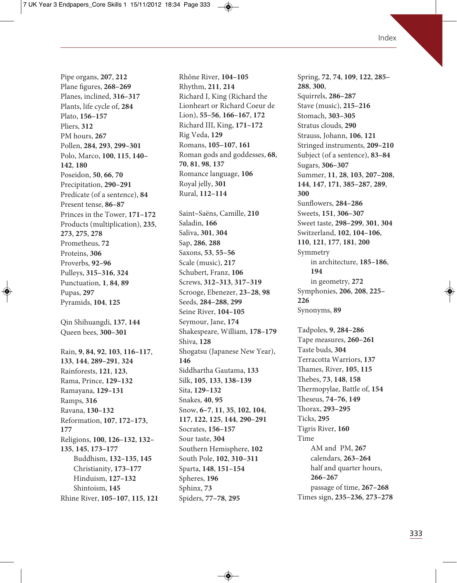Pipe organs, **207**, **212** Plane figures, **268–269** Planes, inclined, **316–317** Plants, life cycle of, **284** Plato, **156–157** Pliers, **312** PM hours, **267** Pollen, **284**, **293**, **299–301** Polo, Marco, **100**, **115**, **140– 142**, **180** Poseidon, **50**, **66**, **70** Precipitation, **290–291** Predicate (of a sentence), **84** Present tense, **86–87** Princes in the Tower, **171–172** Products (multiplication), **235**, **273**, **275**, **278** Prometheus, **72** Proteins, **306** Proverbs, **92–96** Pulleys, **315–316**, **324** Punctuation, **1**, **84**, **89** Pupas, **297** Pyramids, **104**, **125** Qin Shihuangdi, **137**, **144**

Rain, **9**, **84**, **92**, **103**, **116–117**, **133**, **144**, **289–291**, **324** Rainforests, **121**, **123**, Rama, Prince, **129–132** Ramayana, **129–131** Ramps, **316** Ravana, **130–132** Reformation, **107**, **172–173**, **177** Religions, **100**, **126–132**, **132– 135**, **145**, **173–177** Buddhism, **132–135**, **145** Christianity, **173–177** Hinduism, **127–132** Shintoism, **145** Rhine River, **105–107**, **115**, **121**

Queen bees, **300–301**

Rhône River, **104–105** Rhythm, **211**, **214** Richard I, King (Richard the Lionheart or Richard Coeur de Lion), **55–56**, **166–167**, **172** Richard III, King, **171–172** Rig Veda, **129** Romans, **105–107**, **161** Roman gods and goddesses, **68**, **70**, **81**, **98**, **137** Romance language, **106** Royal jelly, **301** Rural, **112–114**

Saint**–**Saëns, Camille, **210** Saladin, **166** Saliva, **301**, **304** Sap, **286**, **288** Saxons, **53**, **55–56** Scale (music), **217** Schubert, Franz, **106** Screws, **312–313**, **317–319** Scrooge, Ebenezer, **23–28**, **98** Seeds, **284–288**, **299** Seine River, **104–105** Seymour, Jane, **174** Shakespeare, William, **178–179** Shiva, **128** Shogatsu (Japanese New Year), **146** Siddhartha Gautama, **133** Silk, **105**, **133**, **138–139** Sita, **129–132** Snakes, **40**, **95** Snow, **6–7**, **11**, **35**, **102**, **104**, **117**, **122**, **125**, **144**, **290–291** Socrates, **156–157** Sour taste, **304** Southern Hemisphere, **102** South Pole, **102**, **310–311** Sparta, **148**, **151–154** Spheres, **196** Sphinx, **73** Spiders, **77–78**, **295**

Spring, **72**, **74**, **109**, **122**, **285– 288**, **300**, Squirrels, **286–287** Stave (music), **215–216** Stomach, **303–305** Stratus clouds, **290** Strauss, Johann, **106**, **121** Stringed instruments, **209–210** Subject (of a sentence), **83–84** Sugars, **306–307** Summer, **11**, **28**, **103**, **207–208**, **144**, **147**, **171**, **385–287**, **289**, **300** Sunflowers, **284–286** Sweets, **151**, **306–307** Sweet taste, **298–299**, **301**, **304** Switzerland, **102**, **104–106**, **110**, **121**, **177**, **181**, **200** Symmetry in architecture, **185–186**, **194** in geometry, **272** Symphonies, **206**, **208**, **225– 226** Synonyms, **89** Tadpoles, **9**, **284–286** Tape measures, **260–261** Taste buds, **304** Terracotta Warriors, **137** ames, River, **105**, **115** ebes, **73**, **148**, **158** Thermopylae, Battle of, 154 eseus, **74–76**, **149** Thorax, 293-295 Ticks, **295** Tigris River, **160** Time AM and PM, **267** calendars, **263–264** half and quarter hours, **266–267** passage of time, **267–268** Times sign, **235–236**, **273–278**